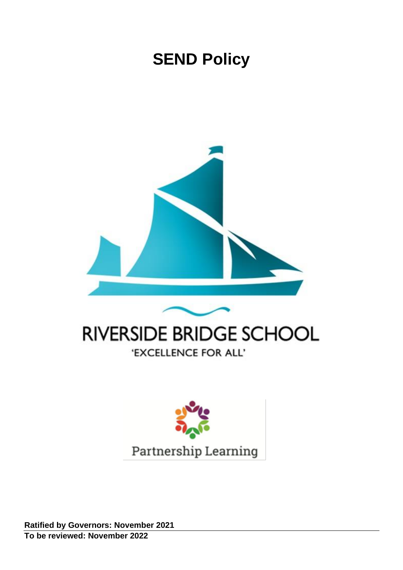# **SEND Policy**



# **RIVERSIDE BRIDGE SCHOOL** 'EXCELLENCE FOR ALL'



**Ratified by Governors: November 2021 To be reviewed: November 2022**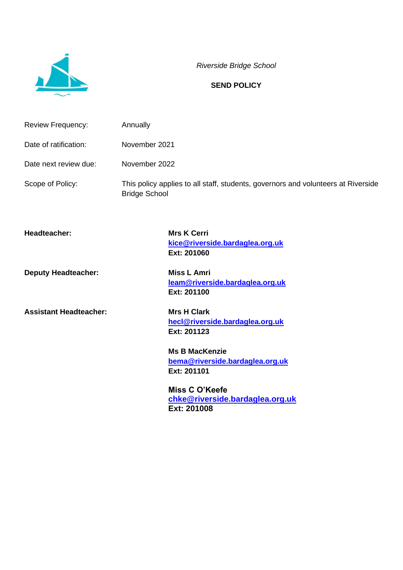

*Riverside Bridge School*

#### **SEND POLICY**

| <b>Review Frequency:</b> | Annually                                                                                                  |
|--------------------------|-----------------------------------------------------------------------------------------------------------|
| Date of ratification:    | November 2021                                                                                             |
| Date next review due:    | November 2022                                                                                             |
| Scope of Policy:         | This policy applies to all staff, students, governors and volunteers at Riverside<br><b>Bridge School</b> |

**Headteacher: Mrs K Cerri**

**Assistant Headteacher: Mrs H Clark**

**[kice@riverside.bardaglea.org.uk](mailto:kice@riverside.bardaglea.org.uk) Ext: 201060**

**Deputy Headteacher:** Miss L Amri **[leam@riverside.bardaglea.org.uk](mailto:leam@riverside.bardaglea.org.uk) Ext: 201100**

> **[hecl@riverside.bardaglea.org.uk](mailto:hecl@riverside.bardaglea.org.uk) Ext: 201123**

**Ms B MacKenzie [bema@riverside.bardaglea.org.uk](mailto:bema@riverside.bardaglea.org.uk) Ext: 201101**

**Miss C O'Keefe [chke@riverside.bardaglea.org.uk](mailto:chke@riverside.bardaglea.org.uk) Ext: 201008**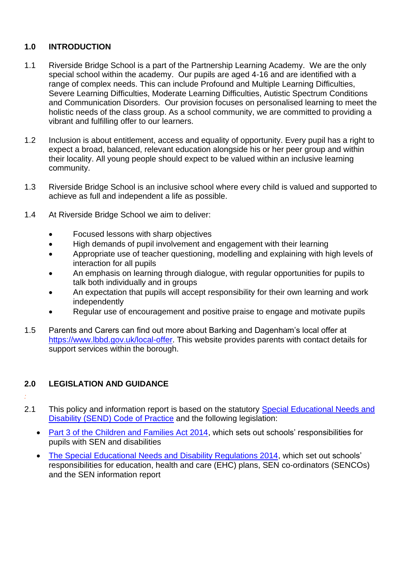# **1.0 INTRODUCTION**

- 1.1 Riverside Bridge School is a part of the Partnership Learning Academy. We are the only special school within the academy. Our pupils are aged 4-16 and are identified with a range of complex needs. This can include Profound and Multiple Learning Difficulties, Severe Learning Difficulties, Moderate Learning Difficulties, Autistic Spectrum Conditions and Communication Disorders. Our provision focuses on personalised learning to meet the holistic needs of the class group. As a school community, we are committed to providing a vibrant and fulfilling offer to our learners.
- 1.2 Inclusion is about entitlement, access and equality of opportunity. Every pupil has a right to expect a broad, balanced, relevant education alongside his or her peer group and within their locality. All young people should expect to be valued within an inclusive learning community.
- 1.3 Riverside Bridge School is an inclusive school where every child is valued and supported to achieve as full and independent a life as possible.
- 1.4 At Riverside Bridge School we aim to deliver:
	- Focused lessons with sharp objectives
	- High demands of pupil involvement and engagement with their learning
	- Appropriate use of teacher questioning, modelling and explaining with high levels of interaction for all pupils
	- An emphasis on learning through dialogue, with regular opportunities for pupils to talk both individually and in groups
	- An expectation that pupils will accept responsibility for their own learning and work independently
	- Regular use of encouragement and positive praise to engage and motivate pupils
- 1.5 Parents and Carers can find out more about Barking and Dagenham's local offer at [https://www.lbbd.gov.uk/local-offer.](https://www.lbbd.gov.uk/local-offer) This website provides parents with contact details for support services within the borough.

# **2.0 LEGISLATION AND GUIDANCE**

- *:*
- 2.1 This policy and information report is based on the statutory Special Educational Needs and [Disability \(SEND\) Code of Practice](https://www.gov.uk/government/uploads/system/uploads/attachment_data/file/398815/SEND_Code_of_Practice_January_2015.pdf) and the following legislation:
	- [Part 3 of the Children and Families Act 2014,](http://www.legislation.gov.uk/ukpga/2014/6/part/3) which sets out schools' responsibilities for pupils with SEN and disabilities
	- [The Special Educational Needs and Disability Regulations 2014,](http://www.legislation.gov.uk/uksi/2014/1530/contents/made) which set out schools' responsibilities for education, health and care (EHC) plans, SEN co-ordinators (SENCOs) and the SEN information report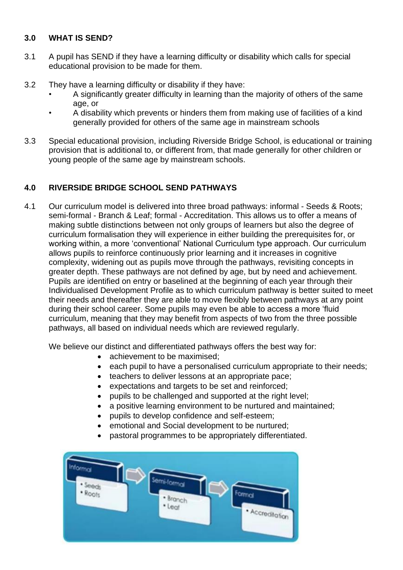# **3.0 WHAT IS SEND?**

- 3.1 A pupil has SEND if they have a learning difficulty or disability which calls for special educational provision to be made for them.
- 3.2 They have a learning difficulty or disability if they have:
	- A significantly greater difficulty in learning than the majority of others of the same age, or
	- A disability which prevents or hinders them from making use of facilities of a kind generally provided for others of the same age in mainstream schools
- 3.3 Special educational provision, including Riverside Bridge School, is educational or training provision that is additional to, or different from, that made generally for other children or young people of the same age by mainstream schools.

# **4.0 RIVERSIDE BRIDGE SCHOOL SEND PATHWAYS**

4.1 Our curriculum model is delivered into three broad pathways: informal - Seeds & Roots; semi-formal - Branch & Leaf; formal - Accreditation. This allows us to offer a means of making subtle distinctions between not only groups of learners but also the degree of curriculum formalisation they will experience in either building the prerequisites for, or working within, a more 'conventional' National Curriculum type approach. Our curriculum allows pupils to reinforce continuously prior learning and it increases in cognitive complexity, widening out as pupils move through the pathways, revisiting concepts in greater depth. These pathways are not defined by age, but by need and achievement. Pupils are identified on entry or baselined at the beginning of each year through their Individualised Development Profile as to which curriculum pathway is better suited to meet their needs and thereafter they are able to move flexibly between pathways at any point during their school career. Some pupils may even be able to access a more 'fluid curriculum, meaning that they may benefit from aspects of two from the three possible pathways, all based on individual needs which are reviewed regularly.

We believe our distinct and differentiated pathways offers the best way for:

- achievement to be maximised;
- each pupil to have a personalised curriculum appropriate to their needs;
- teachers to deliver lessons at an appropriate pace;
- expectations and targets to be set and reinforced;
- pupils to be challenged and supported at the right level;
- a positive learning environment to be nurtured and maintained;
- pupils to develop confidence and self-esteem;
- emotional and Social development to be nurtured;
- pastoral programmes to be appropriately differentiated.

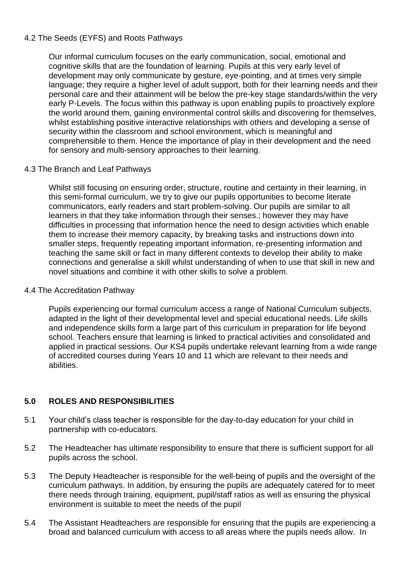# 4.2 The Seeds (EYFS) and Roots Pathways

Our informal curriculum focuses on the early communication, social, emotional and cognitive skills that are the foundation of learning. Pupils at this very early level of development may only communicate by gesture, eye-pointing, and at times very simple language; they require a higher level of adult support, both for their learning needs and their personal care and their attainment will be below the pre-key stage standards/within the very early P-Levels. The focus within this pathway is upon enabling pupils to proactively explore the world around them, gaining environmental control skills and discovering for themselves, whilst establishing positive interactive relationships with others and developing a sense of security within the classroom and school environment, which is meaningful and comprehensible to them. Hence the importance of play in their development and the need for sensory and multi-sensory approaches to their learning.

#### 4.3 The Branch and Leaf Pathways

Whilst still focusing on ensuring order, structure, routine and certainty in their learning, in this semi-formal curriculum, we try to give our pupils opportunities to become literate communicators, early readers and start problem-solving. Our pupils are similar to all learners in that they take information through their senses.; however they may have difficulties in processing that information hence the need to design activities which enable them to increase their memory capacity, by breaking tasks and instructions down into smaller steps, frequently repeating important information, re-presenting information and teaching the same skill or fact in many different contexts to develop their ability to make connections and generalise a skill whilst understanding of when to use that skill in new and novel situations and combine it with other skills to solve a problem.

#### 4.4 The Accreditation Pathway

Pupils experiencing our formal curriculum access a range of National Curriculum subjects, adapted in the light of their developmental level and special educational needs. Life skills and independence skills form a large part of this curriculum in preparation for life beyond school. Teachers ensure that learning is linked to practical activities and consolidated and applied in practical sessions. Our KS4 pupils undertake relevant learning from a wide range of accredited courses during Years 10 and 11 which are relevant to their needs and abilities.

# **5.0 ROLES AND RESPONSIBILITIES**

- 5.1 Your child's class teacher is responsible for the day-to-day education for your child in partnership with co-educators.
- 5.2 The Headteacher has ultimate responsibility to ensure that there is sufficient support for all pupils across the school.
- 5.3 The Deputy Headteacher is responsible for the well-being of pupils and the oversight of the curriculum pathways. In addition, by ensuring the pupils are adequately catered for to meet there needs through training, equipment, pupil/staff ratios as well as ensuring the physical environment is suitable to meet the needs of the pupil
- 5.4 The Assistant Headteachers are responsible for ensuring that the pupils are experiencing a broad and balanced curriculum with access to all areas where the pupils needs allow. In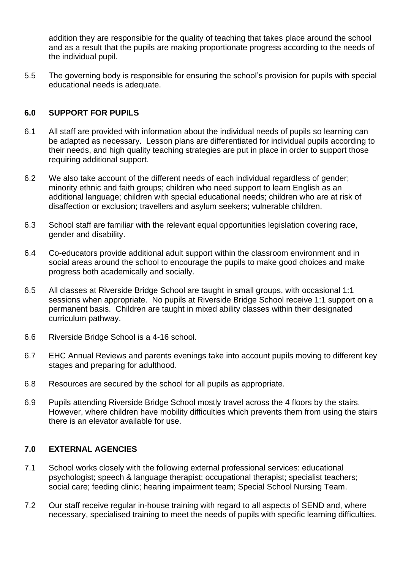addition they are responsible for the quality of teaching that takes place around the school and as a result that the pupils are making proportionate progress according to the needs of the individual pupil.

5.5 The governing body is responsible for ensuring the school's provision for pupils with special educational needs is adequate.

# **6.0 SUPPORT FOR PUPILS**

- 6.1 All staff are provided with information about the individual needs of pupils so learning can be adapted as necessary. Lesson plans are differentiated for individual pupils according to their needs, and high quality teaching strategies are put in place in order to support those requiring additional support.
- 6.2 We also take account of the different needs of each individual regardless of gender; minority ethnic and faith groups; children who need support to learn English as an additional language; children with special educational needs; children who are at risk of disaffection or exclusion; travellers and asylum seekers; vulnerable children.
- 6.3 School staff are familiar with the relevant equal opportunities legislation covering race, gender and disability.
- 6.4 Co-educators provide additional adult support within the classroom environment and in social areas around the school to encourage the pupils to make good choices and make progress both academically and socially.
- 6.5 All classes at Riverside Bridge School are taught in small groups, with occasional 1:1 sessions when appropriate. No pupils at Riverside Bridge School receive 1:1 support on a permanent basis. Children are taught in mixed ability classes within their designated curriculum pathway.
- 6.6 Riverside Bridge School is a 4-16 school.
- 6.7 EHC Annual Reviews and parents evenings take into account pupils moving to different key stages and preparing for adulthood.
- 6.8 Resources are secured by the school for all pupils as appropriate.
- 6.9 Pupils attending Riverside Bridge School mostly travel across the 4 floors by the stairs. However, where children have mobility difficulties which prevents them from using the stairs there is an elevator available for use.

# **7.0 EXTERNAL AGENCIES**

- 7.1 School works closely with the following external professional services: educational psychologist; speech & language therapist; occupational therapist; specialist teachers; social care; feeding clinic; hearing impairment team; Special School Nursing Team.
- 7.2 Our staff receive regular in-house training with regard to all aspects of SEND and, where necessary, specialised training to meet the needs of pupils with specific learning difficulties.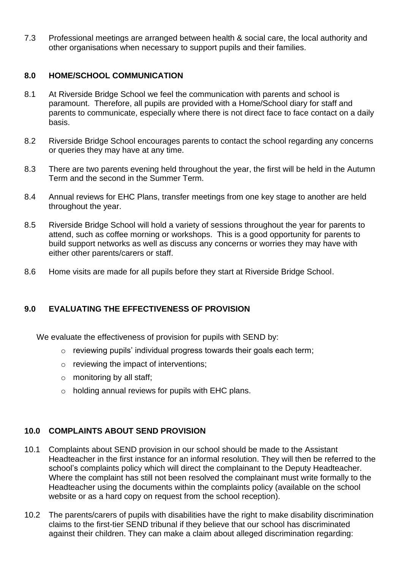7.3 Professional meetings are arranged between health & social care, the local authority and other organisations when necessary to support pupils and their families.

## **8.0 HOME/SCHOOL COMMUNICATION**

- 8.1 At Riverside Bridge School we feel the communication with parents and school is paramount. Therefore, all pupils are provided with a Home/School diary for staff and parents to communicate, especially where there is not direct face to face contact on a daily basis.
- 8.2 Riverside Bridge School encourages parents to contact the school regarding any concerns or queries they may have at any time.
- 8.3 There are two parents evening held throughout the year, the first will be held in the Autumn Term and the second in the Summer Term.
- 8.4 Annual reviews for EHC Plans, transfer meetings from one key stage to another are held throughout the year.
- 8.5 Riverside Bridge School will hold a variety of sessions throughout the year for parents to attend, such as coffee morning or workshops. This is a good opportunity for parents to build support networks as well as discuss any concerns or worries they may have with either other parents/carers or staff.
- 8.6 Home visits are made for all pupils before they start at Riverside Bridge School.

# **9.0 EVALUATING THE EFFECTIVENESS OF PROVISION**

We evaluate the effectiveness of provision for pupils with SEND by:

- o reviewing pupils' individual progress towards their goals each term;
- o reviewing the impact of interventions;
- $\circ$  monitoring by all staff;
- o holding annual reviews for pupils with EHC plans.

#### **10.0 COMPLAINTS ABOUT SEND PROVISION**

- 10.1 Complaints about SEND provision in our school should be made to the Assistant Headteacher in the first instance for an informal resolution. They will then be referred to the school's complaints policy which will direct the complainant to the Deputy Headteacher. Where the complaint has still not been resolved the complainant must write formally to the Headteacher using the documents within the complaints policy (available on the school website or as a hard copy on request from the school reception).
- 10.2 The parents/carers of pupils with disabilities have the right to make disability discrimination claims to the first-tier SEND tribunal if they believe that our school has discriminated against their children. They can make a claim about alleged discrimination regarding: